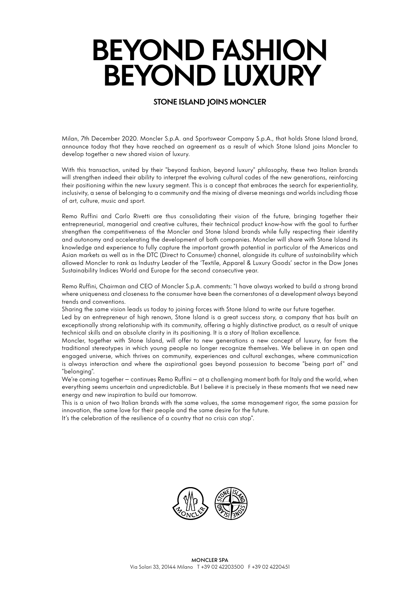### **STONE ISLAND JOINS MONCLER**

Milan, 7th December 2020. Moncler S.p.A. and Sportswear Company S.p.A., that holds Stone Island brand, announce today that they have reached an agreement as a result of which Stone Island joins Moncler to develop together a new shared vision of luxury.

With this transaction, united by their "beyond fashion, beyond luxury" philosophy, these two Italian brands will strengthen indeed their ability to interpret the evolving cultural codes of the new generations, reinforcing their positioning within the new luxury segment. This is a concept that embraces the search for experientiality, inclusivity, a sense of belonging to a community and the mixing of diverse meanings and worlds including those of art, culture, music and sport.

Remo Ruffini and Carlo Rivetti are thus consolidating their vision of the future, bringing together their entrepreneurial, managerial and creative cultures, their technical product know-how with the goal to further strengthen the competitiveness of the Moncler and Stone Island brands while fully respecting their identity and autonomy and accelerating the development of both companies. Moncler will share with Stone Island its knowledge and experience to fully capture the important growth potential in particular of the Americas and Asian markets as well as in the DTC (Direct to Consumer) channel, alongside its culture of sustainability which allowed Moncler to rank as Industry Leader of the 'Textile, Apparel & Luxury Goods' sector in the Dow Jones Sustainability Indices World and Europe for the second consecutive year.

Remo Ruffini, Chairman and CEO of Moncler S.p.A. comments: "I have always worked to build a strong brand where uniqueness and closeness to the consumer have been the cornerstones of a development always beyond trends and conventions.

Sharing the same vision leads us today to joining forces with Stone Island to write our future together.

Led by an entrepreneur of high renown, Stone Island is a great success story, a company that has built an exceptionally strong relationship with its community, offering a highly distinctive product, as a result of unique technical skills and an absolute clarity in its positioning. It is a story of Italian excellence.

Moncler, together with Stone Island, will offer to new generations a new concept of luxury, far from the traditional stereotypes in which young people no longer recognize themselves. We believe in an open and engaged universe, which thrives on community, experiences and cultural exchanges, where communication is always interaction and where the aspirational goes beyond possession to become "being part of" and "belonging".

We're coming together – continues Remo Ruffini – at a challenging moment both for Italy and the world, when everything seems uncertain and unpredictable. But I believe it is precisely in these moments that we need new energy and new inspiration to build our tomorrow.

This is a union of two Italian brands with the same values, the same management rigor, the same passion for innovation, the same love for their people and the same desire for the future.

It's the celebration of the resilience of a country that no crisis can stop".

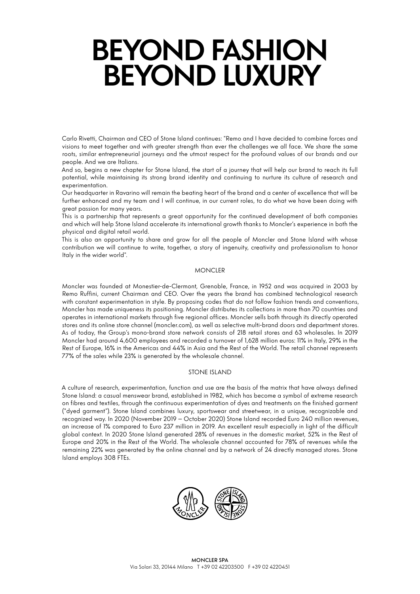Carlo Rivetti, Chairman and CEO of Stone Island continues: "Remo and I have decided to combine forces and visions to meet together and with greater strength than ever the challenges we all face. We share the same roots, similar entrepreneurial journeys and the utmost respect for the profound values of our brands and our people. And we are Italians.

And so, begins a new chapter for Stone Island, the start of a journey that will help our brand to reach its full potential, while maintaining its strong brand identity and continuing to nurture its culture of research and experimentation.

Our headquarter in Ravarino will remain the beating heart of the brand and a center of excellence that will be further enhanced and my team and I will continue, in our current roles, to do what we have been doing with great passion for many years.

This is a partnership that represents a great opportunity for the continued development of both companies and which will help Stone Island accelerate its international growth thanks to Moncler's experience in both the physical and digital retail world.

This is also an opportunity to share and grow for all the people of Moncler and Stone Island with whose contribution we will continue to write, together, a story of ingenuity, creativity and professionalism to honor Italy in the wider world".

#### **MONCLER**

Moncler was founded at Monestier-de-Clermont, Grenoble, France, in 1952 and was acquired in 2003 by Remo Ruffini, current Chairman and CEO. Over the years the brand has combined technological research with constant experimentation in style. By proposing codes that do not follow fashion trends and conventions, Moncler has made uniqueness its positioning. Moncler distributes its collections in more than 70 countries and operates in international markets through five regional offices. Moncler sells both through its directly operated stores and its online store channel (moncler.com), as well as selective multi-brand doors and department stores. As of today, the Group's mono-brand store network consists of 218 retail stores and 63 wholesales. In 2019 Moncler had around 4,600 employees and recorded a turnover of 1,628 million euros: 11% in Italy, 29% in the Rest of Europe, 16% in the Americas and 44% in Asia and the Rest of the World. The retail channel represents 77% of the sales while 23% is generated by the wholesale channel.

### STONE ISLAND

A culture of research, experimentation, function and use are the basis of the matrix that have always defined Stone Island: a casual menswear brand, established in 1982, which has become a symbol of extreme research on fibres and textiles, through the continuous experimentation of dyes and treatments on the finished garment ("dyed garment"). Stone Island combines luxury, sportswear and streetwear, in a unique, recognizable and recognized way. In 2020 (November 2019 – October 2020) Stone Island recorded Euro 240 million revenues, an increase of 1% compared to Euro 237 million in 2019. An excellent result especially in light of the difficult global context. In 2020 Stone Island generated 28% of revenues in the domestic market, 52% in the Rest of Europe and 20% in the Rest of the World. The wholesale channel accounted for 78% of revenues while the remaining 22% was generated by the online channel and by a network of 24 directly managed stores. Stone Island employs 308 FTEs.

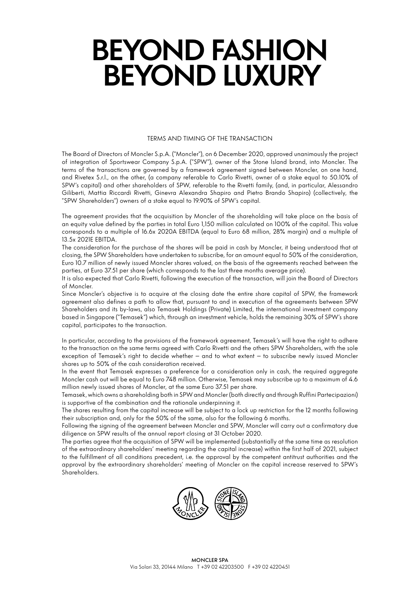#### TERMS AND TIMING OF THE TRANSACTION

The Board of Directors of Moncler S.p.A. ("Moncler"), on 6 December 2020, approved unanimously the project of integration of Sportswear Company S.p.A. ("SPW"), owner of the Stone Island brand, into Moncler. The terms of the transactions are governed by a framework agreement signed between Moncler, on one hand, and Rivetex S.r.l., on the other, (a company referable to Carlo Rivetti, owner of a stake equal to 50.10% of SPW's capital) and other shareholders of SPW, referable to the Rivetti family, (and, in particular, Alessandro Giliberti, Mattia Riccardi Rivetti, Ginevra Alexandra Shapiro and Pietro Brando Shapiro) (collectively, the "SPW Shareholders") owners of a stake equal to 19.90% of SPW's capital.

The agreement provides that the acquisition by Moncler of the shareholding will take place on the basis of an equity value defined by the parties in total Euro 1,150 million calculated on 100% of the capital. This value corresponds to a multiple of 16.6x 2020A EBITDA (equal to Euro 68 million, 28% margin) and a multiple of 13.5x 2021E EBITDA.

The consideration for the purchase of the shares will be paid in cash by Moncler, it being understood that at closing, the SPW Shareholders have undertaken to subscribe, for an amount equal to 50% of the consideration, Euro 10.7 million of newly issued Moncler shares valued, on the basis of the agreements reached between the parties, at Euro 37.51 per share (which corresponds to the last three months average price).

It is also expected that Carlo Rivetti, following the execution of the transaction, will join the Board of Directors of Moncler.

Since Moncler's objective is to acquire at the closing date the entire share capital of SPW, the framework agreement also defines a path to allow that, pursuant to and in execution of the agreements between SPW Shareholders and its by-laws, also Temasek Holdings (Private) Limited, the international investment company based in Singapore ("Temasek") which, through an investment vehicle, holds the remaining 30% of SPW's share capital, participates to the transaction.

In particular, according to the provisions of the framework agreement, Temasek's will have the right to adhere to the transaction on the same terms agreed with Carlo Rivetti and the others SPW Shareholders, with the sole exception of Temasek's right to decide whether – and to what extent – to subscribe newly issued Moncler shares up to 50% of the cash consideration received.

In the event that Temasek expresses a preference for a consideration only in cash, the required aggregate Moncler cash out will be equal to Euro 748 million. Otherwise, Temasek may subscribe up to a maximum of 4.6 million newly issued shares of Moncler, at the same Euro 37.51 per share.

Temasek, which owns a shareholding both in SPW and Moncler (both directly and through Ruffini Partecipazioni) is supportive of the combination and the rationale underpinning it.

The shares resulting from the capital increase will be subject to a lock up restriction for the 12 months following their subscription and, only for the 50% of the same, also for the following 6 months.

Following the signing of the agreement between Moncler and SPW, Moncler will carry out a confirmatory due diligence on SPW results of the annual report closing at 31 October 2020.

The parties agree that the acquisition of SPW will be implemented (substantially at the same time as resolution of the extraordinary shareholders' meeting regarding the capital increase) within the first half of 2021, subject to the fulfillment of all conditions precedent, i.e. the approval by the competent antitrust authorities and the approval by the extraordinary shareholders' meeting of Moncler on the capital increase reserved to SPW's Shareholders.

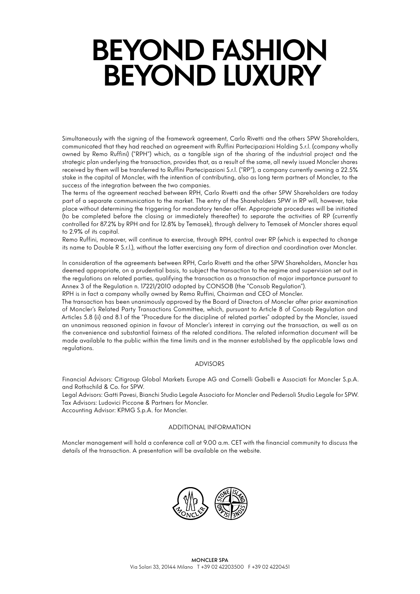Simultaneously with the signing of the framework agreement, Carlo Rivetti and the others SPW Shareholders, communicated that they had reached an agreement with Ruffini Partecipazioni Holding S.r.l. (company wholly owned by Remo Ruffini) ("RPH") which, as a tangible sign of the sharing of the industrial project and the strategic plan underlying the transaction, provides that, as a result of the same, all newly issued Moncler shares received by them will be transferred to Ruffini Partecipazioni S.r.l. ("RP"), a company currently owning a 22.5% stake in the capital of Moncler, with the intention of contributing, also as long term partners of Moncler, to the success of the integration between the two companies.

The terms of the agreement reached between RPH, Carlo Rivetti and the other SPW Shareholders are today part of a separate communication to the market. The entry of the Shareholders SPW in RP will, however, take place without determining the triggering for mandatory tender offer. Appropriate procedures will be initiated (to be completed before the closing or immediately thereafter) to separate the activities of RP (currently controlled for 87.2% by RPH and for 12.8% by Temasek), through delivery to Temasek of Moncler shares equal to 2.9% of its capital.

Remo Ruffini, moreover, will continue to exercise, through RPH, control over RP (which is expected to change its name to Double R S.r.l.), without the latter exercising any form of direction and coordination over Moncler.

In consideration of the agreements between RPH, Carlo Rivetti and the other SPW Shareholders, Moncler has deemed appropriate, on a prudential basis, to subject the transaction to the regime and supervision set out in the regulations on related parties, qualifying the transaction as a transaction of major importance pursuant to Annex 3 of the Regulation n. 17221/2010 adopted by CONSOB (the "Consob Regulation").

RPH is in fact a company wholly owned by Remo Ruffini, Chairman and CEO of Moncler.

The transaction has been unanimously approved by the Board of Directors of Moncler after prior examination of Moncler's Related Party Transactions Committee, which, pursuant to Article 8 of Consob Regulation and Articles 5.8 (ii) and 8.1 of the "Procedure for the discipline of related parties" adopted by the Moncler, issued an unanimous reasoned opinion in favour of Moncler's interest in carrying out the transaction, as well as on the convenience and substantial fairness of the related conditions. The related information document will be made available to the public within the time limits and in the manner established by the applicable laws and regulations.

### ADVISORS

Financial Advisors: Citigroup Global Markets Europe AG and Cornelli Gabelli e Associati for Moncler S.p.A. and Rothschild & Co. for SPW.

Legal Advisors: Gatti Pavesi, Bianchi Studio Legale Associato for Moncler and Pedersoli Studio Legale for SPW. Tax Advisors: Ludovici Piccone & Partners for Moncler.

Accounting Advisor: KPMG S.p.A. for Moncler.

#### ADDITIONAL INFORMATION

Moncler management will hold a conference call at 9.00 a.m. CET with the financial community to discuss the details of the transaction. A presentation will be available on the website.